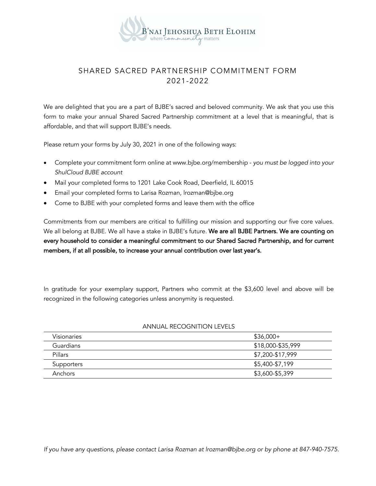

# SHARED SACRED PARTNERSHIP COMMITMENT FORM 2021-2022

We are delighted that you are a part of BJBE's sacred and beloved community. We ask that you use this form to make your annual Shared Sacred Partnership commitment at a level that is meaningful, that is affordable, and that will support BJBE's needs.

Please return your forms by July 30, 2021 in one of the following ways:

- Complete your commitment form online at www.bjbe.org/membership *you must be logged into your ShulCloud BJBE account*
- Mail your completed forms to 1201 Lake Cook Road, Deerfield, IL 60015
- Email your completed forms to Larisa Rozman, lrozman@bjbe.org
- Come to BJBE with your completed forms and leave them with the office

Commitments from our members are critical to fulfilling our mission and supporting our five core values. We all belong at BJBE. We all have a stake in BJBE's future. We are all BJBE Partners. We are counting on every household to consider a meaningful commitment to our Shared Sacred Partnership, and for current members, if at all possible, to increase your annual contribution over last year's.

In gratitude for your exemplary support, Partners who commit at the \$3,600 level and above will be recognized in the following categories unless anonymity is requested.

| Visionaries      | $$36,000+$        |
|------------------|-------------------|
| <b>Guardians</b> | \$18,000-\$35,999 |
| Pillars          | \$7,200-\$17,999  |
| Supporters       | \$5,400-\$7,199   |
| Anchors          | \$3,600-\$5,399   |

## ANNUAL RECOGNITION LEVELS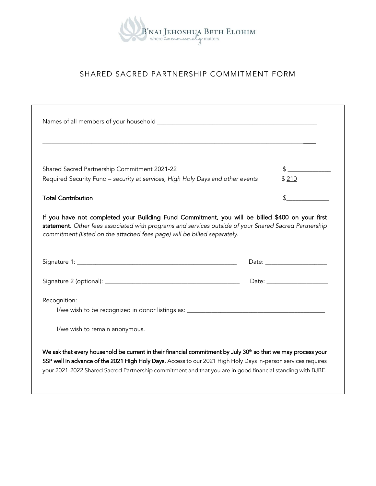

# SHARED SACRED PARTNERSHIP COMMITMENT FORM

| Shared Sacred Partnership Commitment 2021-22                                   | $\frac{1}{2}$ |  |
|--------------------------------------------------------------------------------|---------------|--|
| Required Security Fund - security at services, High Holy Days and other events | \$210         |  |
| <b>Total Contribution</b>                                                      |               |  |
|                                                                                |               |  |
|                                                                                |               |  |
|                                                                                |               |  |
| Recognition:                                                                   |               |  |
| I/we wish to remain anonymous.                                                 |               |  |